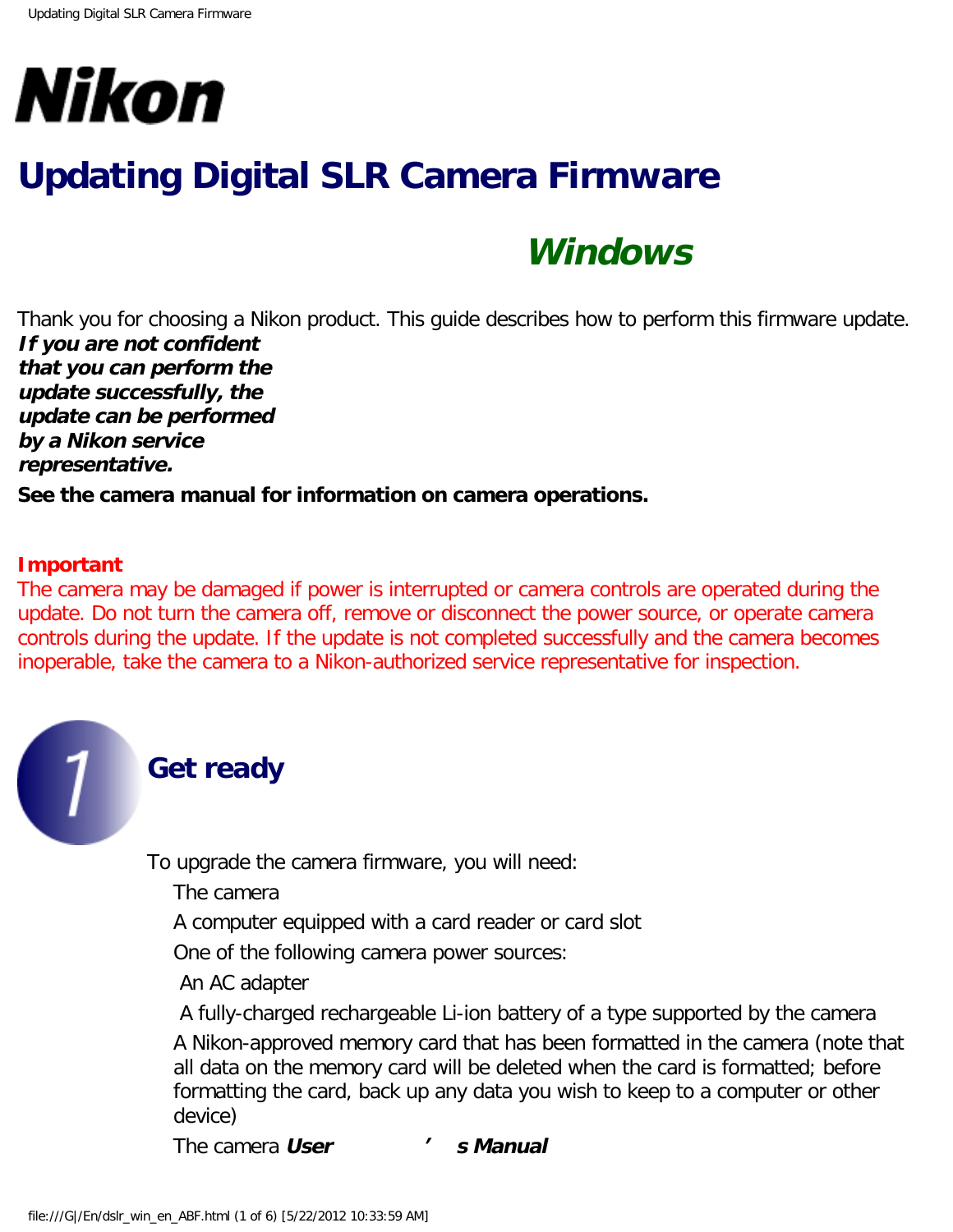

# **Updating Digital SLR Camera Firmware**

## **Windows**

Thank you for choosing a Nikon product. This guide describes how to perform this firmware update. **If you are not confident that you can perform the update successfully, the update can be performed by a Nikon service representative.**

**See the camera manual for information on camera operations.**

#### **Important**

The camera may be damaged if power is interrupted or camera controls are operated during the update. Do not turn the camera off, remove or disconnect the power source, or operate camera controls during the update. If the update is not completed successfully and the camera becomes inoperable, take the camera to a Nikon-authorized service representative for inspection.



### **Get ready**

To upgrade the camera firmware, you will need:

The camera

A computer equipped with a card reader or card slot

One of the following camera power sources:

An AC adapter

 A fully-charged rechargeable Li-ion battery of a type supported by the camera A Nikon-approved memory card that has been formatted in the camera (note that all data on the memory card will be deleted when the card is formatted; before formatting the card, back up any data you wish to keep to a computer or other device)

The camera **User ' s Manual**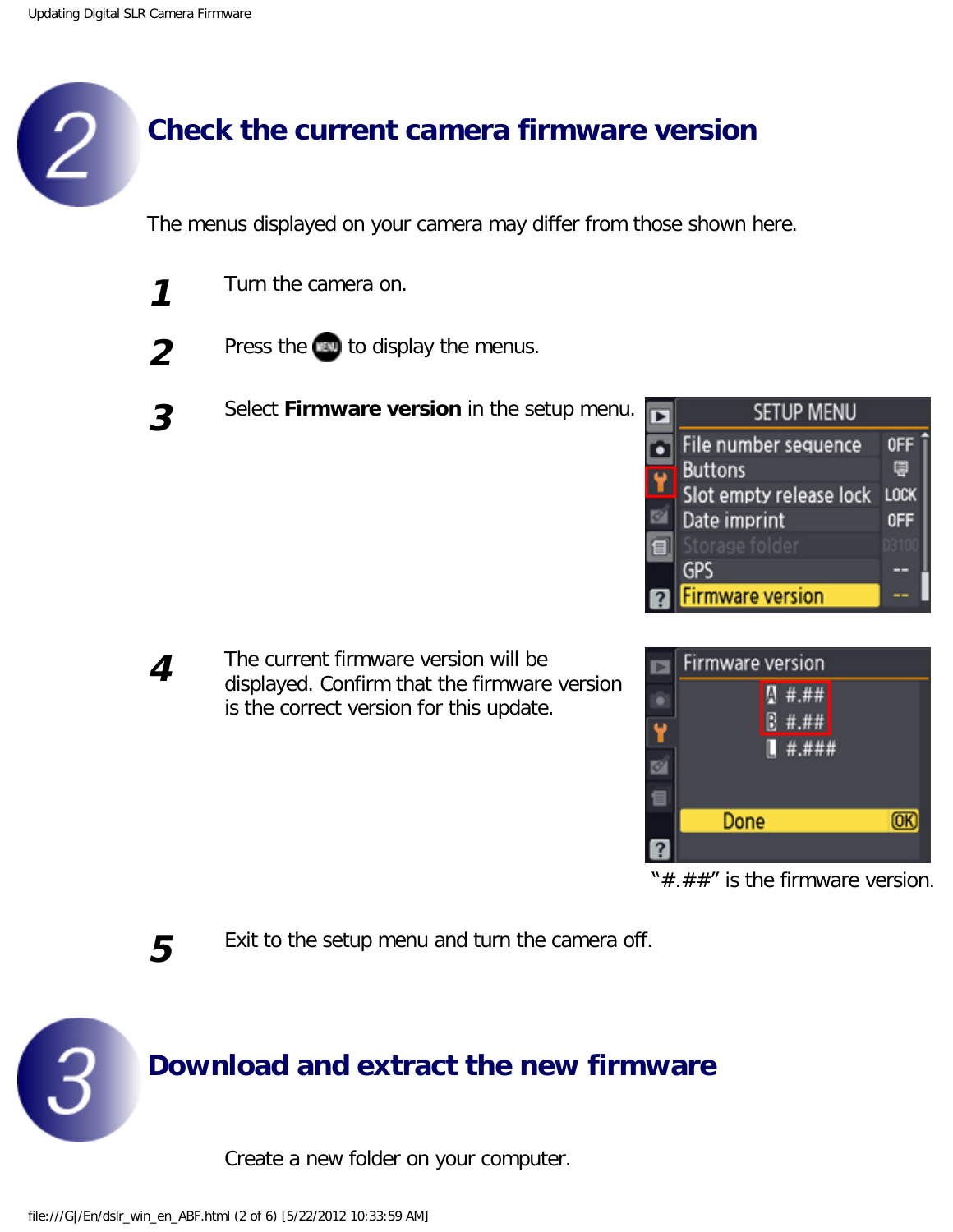## **Check the current camera firmware version**

The menus displayed on your camera may differ from those shown here.

- **1** Turn the camera on.
- 
- **2** Press the **text** to display the menus.
- **3** Select **Firmware version** in the setup menu.



**4** The current firmware version will be displayed. Confirm that the firmware version is the correct version for this update.



" $\#$ . $\#$  $\#$ " is the firmware version.

**5** Exit to the setup menu and turn the camera off.



Create a new folder on your computer.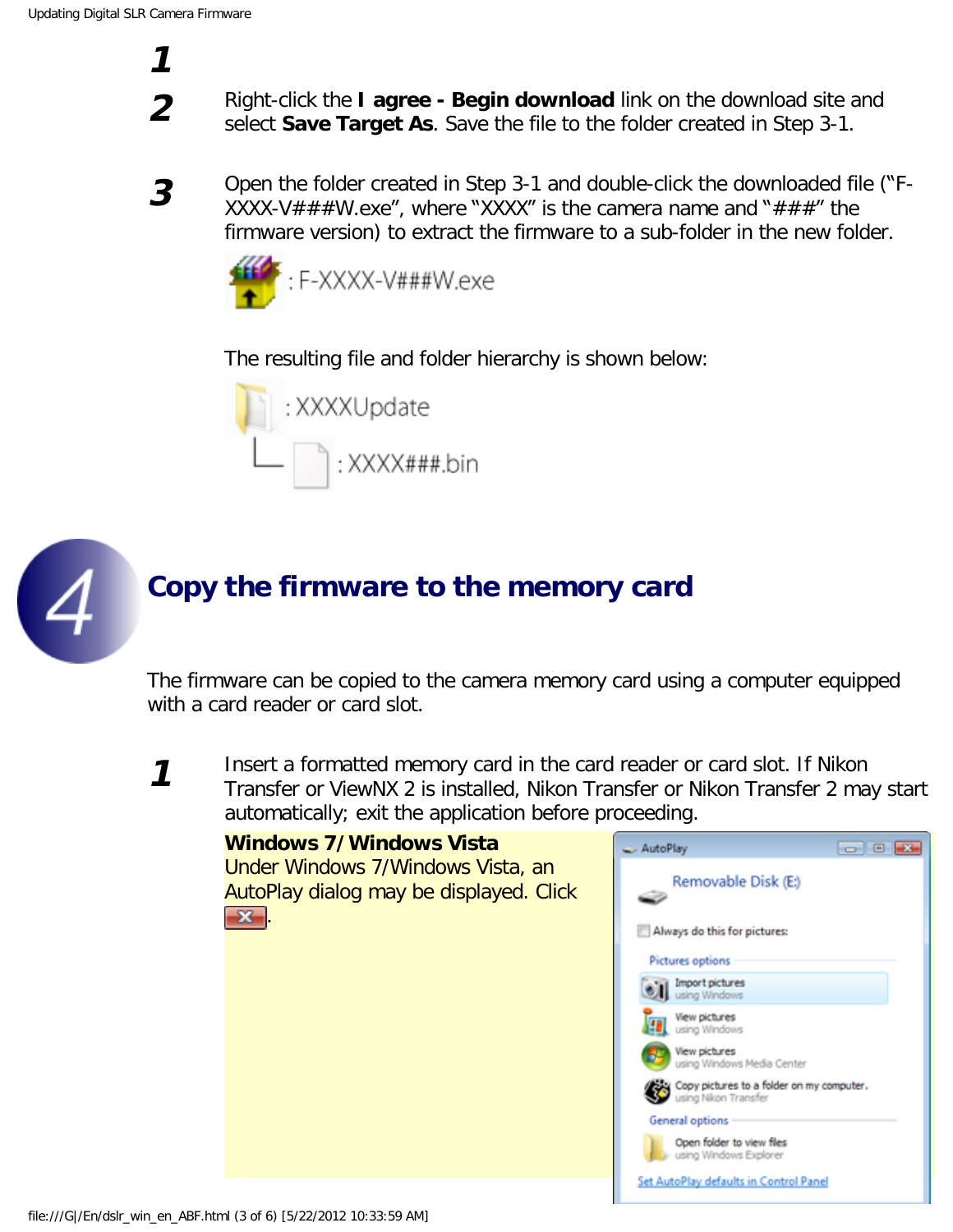**1**

**2** Right-click the **I agree - Begin download** link on the download site and select **Save Target As**. Save the file to the folder created in Step 3-1.

**3** Open the folder created in Step 3-1 and double-click the downloaded file ("F-XXXX-V###W.exe", where "XXXX" is the camera name and "###" the firmware version) to extract the firmware to a sub-folder in the new folder.



The resulting file and folder hierarchy is shown below:





### **Copy the firmware to the memory card**

The firmware can be copied to the camera memory card using a computer equipped with a card reader or card slot.

**1** Insert a formatted memory card in the card reader or card slot. If Nikon Transfer or ViewNX 2 is installed, Nikon Transfer or Nikon Transfer 2 may start automatically; exit the application before proceeding.

| Windows 7/Windows Vista<br>Under Windows 7/Windows Vista, an<br>AutoPlay dialog may be displayed. Click<br>$\mathbf{x}$ | $\circ$ $\circ$ $\circ$<br>AutoPlay<br>Removable Disk (E:)        |
|-------------------------------------------------------------------------------------------------------------------------|-------------------------------------------------------------------|
|                                                                                                                         | Always do this for pictures:<br>Pictures options                  |
|                                                                                                                         | Import pictures<br>using Windows                                  |
|                                                                                                                         | View pictures<br>using Windows                                    |
|                                                                                                                         | <b>View pictures</b><br>using Windows Media Center                |
|                                                                                                                         | Copy pictures to a folder on my computer.<br>using Nikon Transfer |
|                                                                                                                         | General options                                                   |
|                                                                                                                         | Open folder to view files<br>using Windows Explorer               |
|                                                                                                                         | Set AutoPlay defaults in Control Panel                            |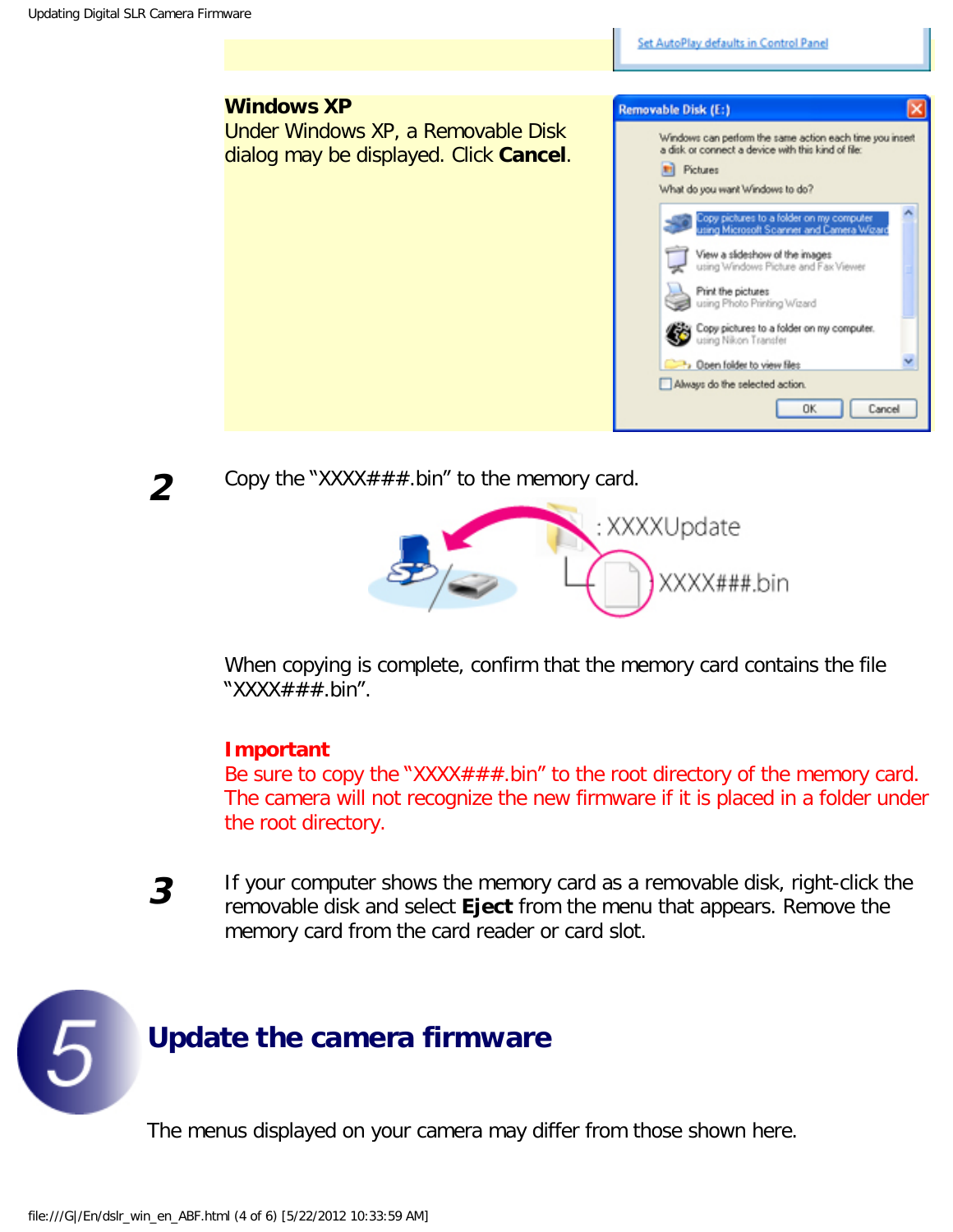**Windows XP** Removable Disk (E:) Under Windows XP, a Removable Disk Windows can perform the same action each time you insert a disk or connect a device with this kind of file: dialog may be displayed. Click **Cancel**. Fil Pictures What do you want Windows to do? lopy pictures to a folder on my computer<br>sing Microsoft Scanner and Camera Wo View a slideshow of the images using Windows Picture and Fax Viewer Print the pictures using Photo Printing Wizard Copy pictures to a folder on my computer. using Nikon Transfer >> Open folder to view files Always do the selected action. **OK** Cancel

Set AutoPlay defaults in Control Panel



**2** Copy the "XXXX###.bin" to the memory card.



When copying is complete, confirm that the memory card contains the file "XXXX $\#$  $\#$  bin".

#### **Important**

Be sure to copy the "XXXX $\# \# \#$ .bin" to the root directory of the memory card. The camera will not recognize the new firmware if it is placed in a folder under the root directory.

**3** If your computer shows the memory card as a removable disk, right-click the removable disk and select **Eject** from the menu that appears. Remove the memory card from the card reader or card slot.



The menus displayed on your camera may differ from those shown here.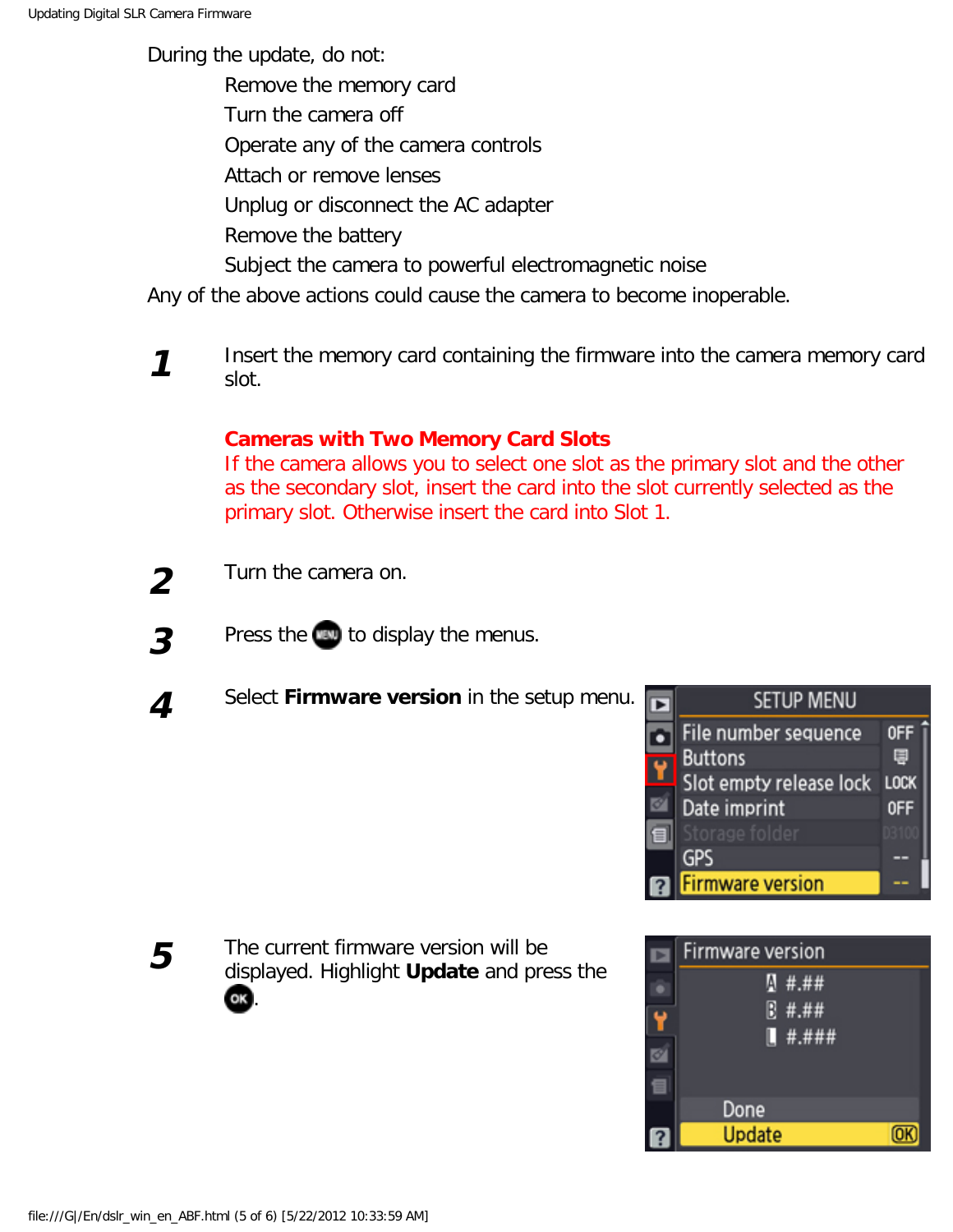During the update, do not:

Remove the memory card

Turn the camera off

Operate any of the camera controls

Attach or remove lenses

Unplug or disconnect the AC adapter

Remove the battery

Subject the camera to powerful electromagnetic noise

Any of the above actions could cause the camera to become inoperable.

**1** Insert the memory card containing the firmware into the camera memory card slot.

### **Cameras with Two Memory Card Slots**

If the camera allows you to select one slot as the primary slot and the other as the secondary slot, insert the card into the slot currently selected as the primary slot. Otherwise insert the card into Slot 1.

- **2** Turn the camera on.
- **3** Press the **to display the menus.**
- **4** Select **Firmware version** in the setup menu.





**5** The current firmware version will be displayed. Highlight **Update** and press the OK.